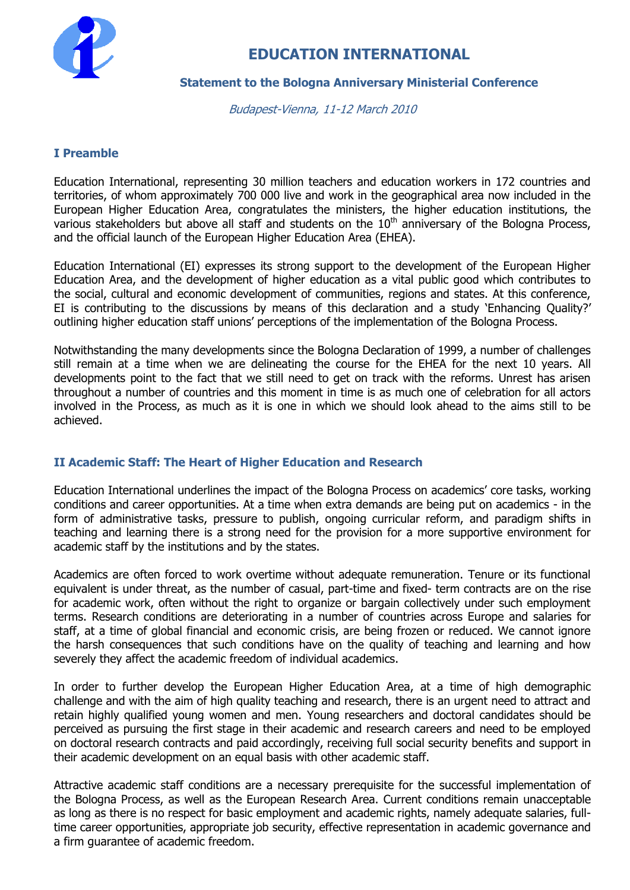

# **EDUCATION INTERNATIONAL**

#### **Statement to the Bologna Anniversary Ministerial Conference**

Budapest-Vienna, 11-12 March 2010

## **I Preamble**

Education International, representing 30 million teachers and education workers in 172 countries and territories, of whom approximately 700 000 live and work in the geographical area now included in the European Higher Education Area, congratulates the ministers, the higher education institutions, the various stakeholders but above all staff and students on the  $10<sup>th</sup>$  anniversary of the Bologna Process, and the official launch of the European Higher Education Area (EHEA).

Education International (EI) expresses its strong support to the development of the European Higher Education Area, and the development of higher education as a vital public good which contributes to the social, cultural and economic development of communities, regions and states. At this conference, EI is contributing to the discussions by means of this declaration and a study 'Enhancing Quality?' outlining higher education staff unions' perceptions of the implementation of the Bologna Process.

Notwithstanding the many developments since the Bologna Declaration of 1999, a number of challenges still remain at a time when we are delineating the course for the EHEA for the next 10 years. All developments point to the fact that we still need to get on track with the reforms. Unrest has arisen throughout a number of countries and this moment in time is as much one of celebration for all actors involved in the Process, as much as it is one in which we should look ahead to the aims still to be achieved.

# **II Academic Staff: The Heart of Higher Education and Research**

Education International underlines the impact of the Bologna Process on academics' core tasks, working conditions and career opportunities. At a time when extra demands are being put on academics - in the form of administrative tasks, pressure to publish, ongoing curricular reform, and paradigm shifts in teaching and learning there is a strong need for the provision for a more supportive environment for academic staff by the institutions and by the states.

Academics are often forced to work overtime without adequate remuneration. Tenure or its functional equivalent is under threat, as the number of casual, part-time and fixed- term contracts are on the rise for academic work, often without the right to organize or bargain collectively under such employment terms. Research conditions are deteriorating in a number of countries across Europe and salaries for staff, at a time of global financial and economic crisis, are being frozen or reduced. We cannot ignore the harsh consequences that such conditions have on the quality of teaching and learning and how severely they affect the academic freedom of individual academics.

In order to further develop the European Higher Education Area, at a time of high demographic challenge and with the aim of high quality teaching and research, there is an urgent need to attract and retain highly qualified young women and men. Young researchers and doctoral candidates should be perceived as pursuing the first stage in their academic and research careers and need to be employed on doctoral research contracts and paid accordingly, receiving full social security benefits and support in their academic development on an equal basis with other academic staff.

Attractive academic staff conditions are a necessary prerequisite for the successful implementation of the Bologna Process, as well as the European Research Area. Current conditions remain unacceptable as long as there is no respect for basic employment and academic rights, namely adequate salaries, fulltime career opportunities, appropriate job security, effective representation in academic governance and a firm guarantee of academic freedom.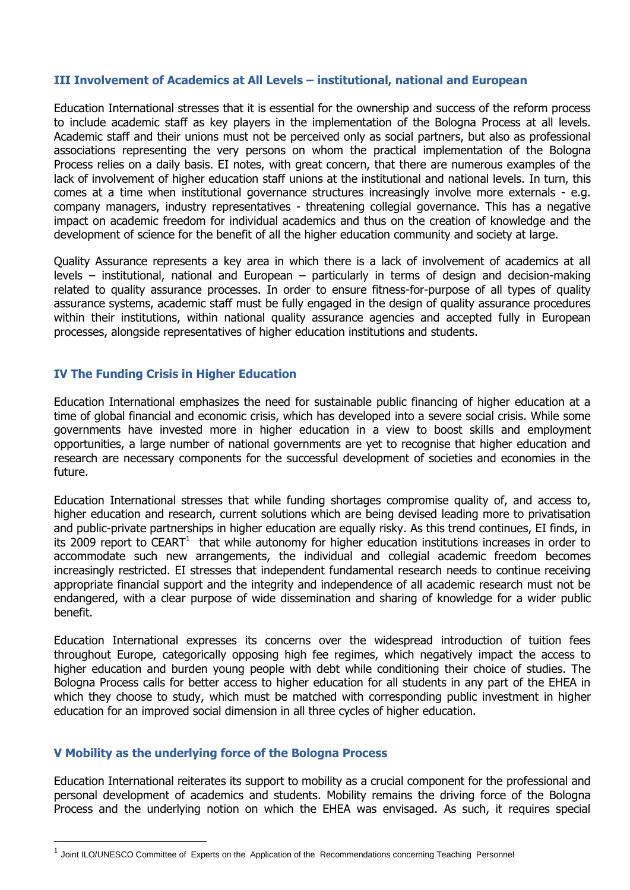#### **III Involvement of Academics at All Levels – institutional, national and European**

Education International stresses that it is essential for the ownership and success of the reform process to include academic staff as key players in the implementation of the Bologna Process at all levels. Academic staff and their unions must not be perceived only as social partners, but also as professional associations representing the very persons on whom the practical implementation of the Bologna Process relies on a daily basis. EI notes, with great concern, that there are numerous examples of the lack of involvement of higher education staff unions at the institutional and national levels. In turn, this comes at a time when institutional governance structures increasingly involve more externals - e.g. company managers, industry representatives - threatening collegial governance. This has a negative impact on academic freedom for individual academics and thus on the creation of knowledge and the development of science for the benefit of all the higher education community and society at large.

Quality Assurance represents a key area in which there is a lack of involvement of academics at all levels – institutional, national and European – particularly in terms of design and decision-making related to quality assurance processes. In order to ensure fitness-for-purpose of all types of quality assurance systems, academic staff must be fully engaged in the design of quality assurance procedures within their institutions, within national quality assurance agencies and accepted fully in European processes, alongside representatives of higher education institutions and students.

## **IV The Funding Crisis in Higher Education**

Education International emphasizes the need for sustainable public financing of higher education at a time of global financial and economic crisis, which has developed into a severe social crisis. While some governments have invested more in higher education in a view to boost skills and employment opportunities, a large number of national governments are yet to recognise that higher education and research are necessary components for the successful development of societies and economies in the future.

Education International stresses that while funding shortages compromise quality of, and access to, higher education and research, current solutions which are being devised leading more to privatisation and public-private partnerships in higher education are equally risky. As this trend continues, EI finds, in its 2009 report to CEART<sup>1</sup> that while autonomy for higher education institutions increases in order to accommodate such new arrangements, the individual and collegial academic freedom becomes increasingly restricted. EI stresses that independent fundamental research needs to continue receiving appropriate financial support and the integrity and independence of all academic research must not be endangered, with a clear purpose of wide dissemination and sharing of knowledge for a wider public benefit.

Education International expresses its concerns over the widespread introduction of tuition fees throughout Europe, categorically opposing high fee regimes, which negatively impact the access to higher education and burden young people with debt while conditioning their choice of studies. The Bologna Process calls for better access to higher education for all students in any part of the EHEA in which they choose to study, which must be matched with corresponding public investment in higher education for an improved social dimension in all three cycles of higher education.

#### **V Mobility as the underlying force of the Bologna Process**

-

Education International reiterates its support to mobility as a crucial component for the professional and personal development of academics and students. Mobility remains the driving force of the Bologna Process and the underlying notion on which the EHEA was envisaged. As such, it requires special

<sup>1</sup> Joint ILO/UNESCO Committee of Experts on the Application of the Recommendations concerning Teaching Personnel